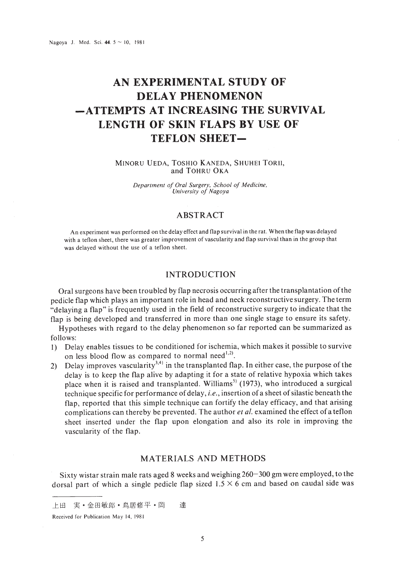# **AN EXPERIMENTAL STUDY OF DELAY PHENOMENON -ATTEMPTS AT INCREASING THE SURVIVAL LENGTH OF SKIN FLAPS BY USE OF TEFLON SHEET-**

MINORU VEDA, TOSHIO KANEDA, SHUHEI TORII, and TOHRU OKA

> *Department of Oral Surgery, School of Medicine, University of Nagoya*

# ABSTRACT

An experiment was performed on the delay effect and flap survival in the rat. When the flap was delayed with a teflon sheet, there was greater improvement of vascularity and flap survival than in the group that was delayed without the use of a teflon sheet.

## INTRODUCTION

Oral surgeons have been troubled by Dap necrosis occurring after the transplantation ofthe pedicle flap which plays an important role in head and neck reconstructive surgery. The term "delaying a flap" is frequently used in the field of reconstructive surgery to indicate that the flap is being developed and transferred in more than one single stage to ensure its safety.

Hypotheses with regard to the delay phenomenon so far reported can be summarized as follows:

- I) Delay enables tissues to be conditioned for ischemia, which makes it possible to survive on less blood flow as compared to normal need $^{1,2}$ .
- 2) Delay improves vascularity<sup>3,4)</sup> in the transplanted flap. In either case, the purpose of the delay is to keep the flap alive by adapting it for a state of relative hypoxia which takes place when it is raised and transplanted. Williams<sup>51</sup> (1973), who introduced a surgical technique specific for performance of delay, *i.e.*, insertion of a sheet of silastic beneath the flap, reported that this simple technique can fortify the delay efficacy, and that arising complications can thereby be prevented. The author *et al.* examined the effect of a teflon sheet inserted under the flap upon elongation and also its role in improving the vascularity of the flap.

## MATERIALS AND METHODS

Sixty wistar strain male rats aged 8 weeks and weighing 260-300 gm were employed, to the dorsal part of which a single pedicle flap sized  $1.5 \times 6$  cm and based on caudal side was

Received for Publication May 14. 1981

上田 実·金田敏郎·鳥居修平·岡 達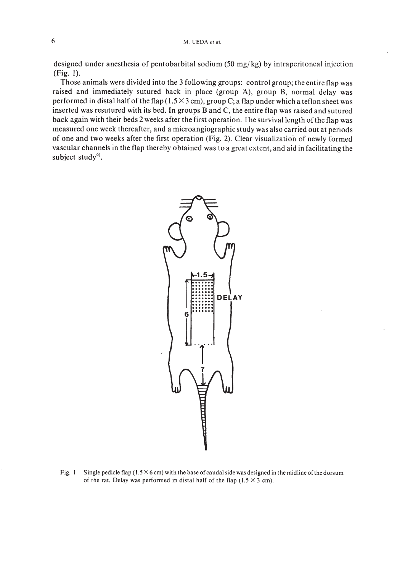designed under anesthesia of pentobarbital sodium (50 mg/kg) by intraperitoneal injection (Fig. I).

Those animals were divided into the 3 following groups: control group; the entire flap was raised and immediately sutured back in place (group A), group B, normal delay was performed in distal half of the flap ( $1.5 \times 3$  cm), group C; a flap under which a teflon sheet was inserted was resutured with its bed. In groups Band C, the entire flap was raised and sutured back again with their beds 2 weeks after the first operation. The survival length of the flap was measured one week thereafter, and a microangiographic study was also carried out at periods of one and two weeks after the first operation (Fig. 2). Clear visualization of newly formed vascular channels in the flap thereby obtained was to a great extent, and aid in facilitating the subject study<sup>6)</sup>.



Fig. 1 Single pedicle flap  $(1.5 \times 6 \text{ cm})$  with the base of caudal side was designed in the midline of the dorsum of the rat. Delay was performed in distal half of the flap  $(1.5 \times 3 \text{ cm})$ .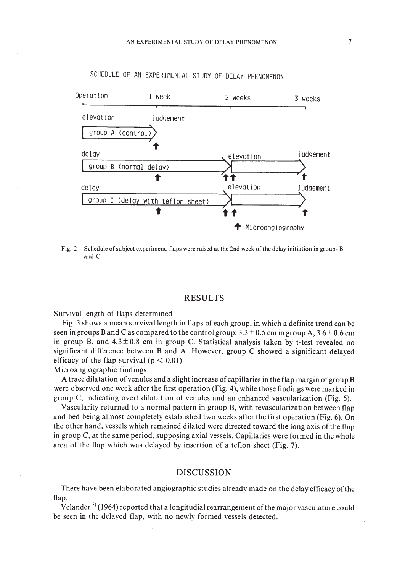

SCHEDULE OF AN EXPERIMENTAL STUDY OF DELAY PHENOMENON

Fig. 2 Schedule ofsubject experiment; flaps were raised at the 2nd week of the delay initiation in groups B and C.

#### RESULTS

Survival length of flaps determined

Fig. 3 shows a mean survival length in flaps of each group, in which a definite trend can be seen in groups B and C as compared to the control group;  $3.3 \pm 0.5$  cm in group A,  $3.6 \pm 0.6$  cm in group B, and  $4.3 \pm 0.8$  cm in group C. Statistical analysis taken by t-test revealed no significant difference between Band A. However, group C showed a significant delayed efficacy of the flap survival ( $p < 0.01$ ).

Microangiographic findings

A trace dilatation ofvenules and a slight increase of capillaries in the flap margin of group B were observed one week after the first operation (Fig. 4), while those findings were marked in group C, indicating overt dilatation of venules and an enhanced vascularization (Fig. 5).

Vascularity returned to a normal pattern in group B, with revascularization between flap and bed being almost completely established two weeks after the first operation (Fig. 6). On the other hand, vessels which remained dilated were directed toward the long axis of the flap in group  $C$ , at the same period, supposing axial vessels. Capillaries were formed in the whole area of the flap which was delayed by insertion of a teflon sheet (Fig. 7).

## DISCUSSION

There have been elaborated angiographic studies already made on the delay efficacy ofthe flap.

Velander  $\frac{1}{2}$  (1964) reported that a longitudial rearrangement of the major vasculature could be seen in the delayed flap, with no newly formed vessels detected.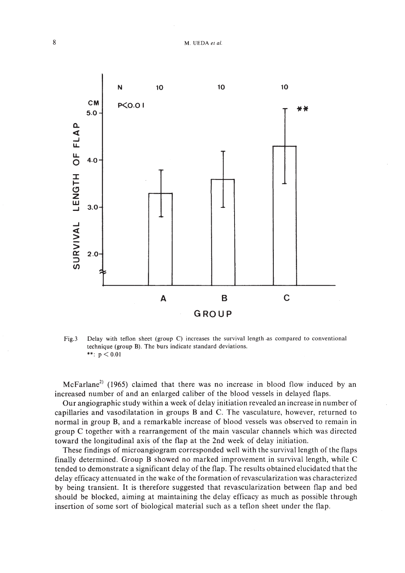

Fig.3 Delay with teflon sheet (group C) increases the survival length ·as compared to conventional technique (group B). The burs indicate standard deviations. \*\*:  $p < 0.01$ 

McFarlane<sup>2)</sup> (1965) claimed that there was no increase in blood flow induced by an increased number of and an enlarged caliber of the blood vessels in delayed flaps.

Our angiographic study within a week of delay initiation revealed an increase in number of capillaries and vasodilatation in groups Band C. The vasculature, however, returned to normal in group B, and a remarkable increase of blood vessels was observed to remain in group C together with a rearrangement of the main vascular channels which was directed toward the longitudinal axis of the flap at the 2nd week of delay initiation.

These findings of microangiogram corresponded wel1 with the survival length of the flaps final1y determined. Group B showed no marked improvement in survival length, while C tended to demonstrate a significant delay of the flap. The results obtained elucidated that the delay efficacy attenuated in the wake of the formation ofrevascuiarization was characterized by being transient. It is therefore suggested that revascularization between flap and bed should be blocked, aiming at maintaining the delay efficacy as much as possible through insertion of some sort of biological material such as a teflon sheet under the flap.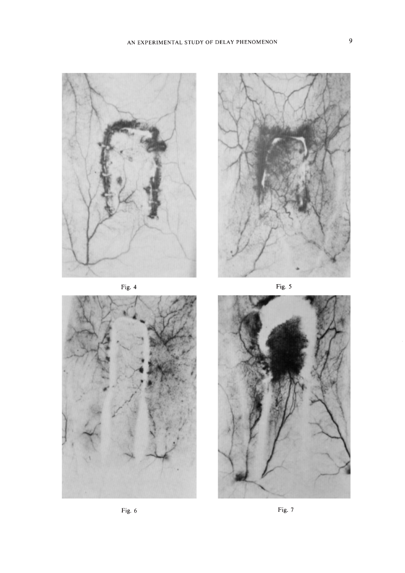

Fig. 4







Fig. 6

Fig. 7